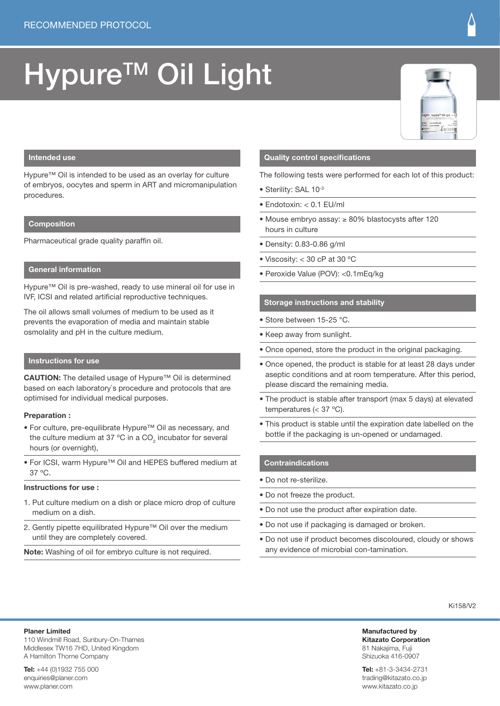# Hypure<sup>™</sup> Oil Light



## **Intended use**

Hypure™ Oil is intended to be used as an overlay for culture of embryos, oocytes and sperm in ART and micromanipulation procedures.

### **Composition**

Pharmaceutical grade quality paraffin oil.

## **General information**

Hypure™ Oil is pre-washed, ready to use mineral oil for use in IVF, ICSI and related artificial reproductive techniques.

The oil allows small volumes of medium to be used as it prevents the evaporation of media and maintain stable osmolality and pH in the culture medium.

## **Instructions for use**

**CAUTION:** The detailed usage of Hypure™ Oil is determined based on each laboratory`s procedure and protocols that are optimised for individual medical purposes.

#### **Preparation :**

- For culture, pre-equilibrate Hypure™ Oil as necessary, and the culture medium at 37 °C in a CO<sub>2</sub> incubator for several hours (or overnight),
- For ICSI, warm Hypure™ Oil and HEPES buffered medium at 37 ºC.

#### **Instructions for use :**

- 1. Put culture medium on a dish or place micro drop of culture medium on a dish.
- 2. Gently pipette equilibrated Hypure™ Oil over the medium until they are completely covered.

**Note:** Washing of oil for embryo culture is not required.

## **Quality control specifications**

The following tests were performed for each lot of this product:

- Sterility: SAL 10-3
- Endotoxin: < 0.1 EU/ml
- Mouse embryo assay: ≥ 80% blastocysts after 120 hours in culture
- Density: 0.83-0.86 g/ml
- Viscosity: < 30 cP at 30 ºC
- Peroxide Value (POV): <0.1mEq/kg

### **Storage instructions and stability**

- Store between 15-25 °C.
- Keep away from sunlight.
- Once opened, store the product in the original packaging.
- Once opened, the product is stable for at least 28 days under aseptic conditions and at room temperature. After this period, please discard the remaining media.
- The product is stable after transport (max 5 days) at elevated temperatures (< 37 ºC).
- This product is stable until the expiration date labelled on the bottle if the packaging is un-opened or undamaged.

#### **Contraindications**

- Do not re-sterilize.
- Do not freeze the product.
- Do not use the product after expiration date.
- Do not use if packaging is damaged or broken.
- Do not use if product becomes discoloured, cloudy or shows any evidence of microbial con-tamination.

Ki158/V2

**Manufactured by Kitazato Corporation** 81 Nakajima, Fuji Shizuoka 416-0907

**Tel:** +81-3-3434-2731 trading@kitazato.co.jp www.kitazato.co.jp

**Tel:** +44 (0)1932 755 000 enquiries@planer.com www.planer.com

A Hamilton Thorne Company

110 Windmill Road, Sunbury-On-Thames Middlesex TW16 7HD, United Kingdom

**Planer Limited**